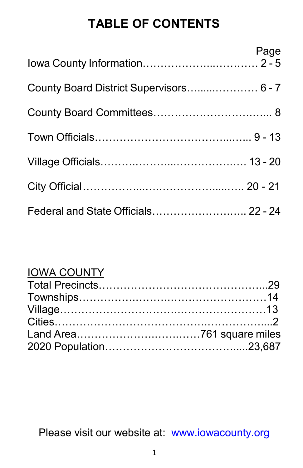# **TABLE OF CONTENTS**

|                                         | Page |
|-----------------------------------------|------|
| County Board District Supervisors 6 - 7 |      |
|                                         |      |
|                                         |      |
|                                         |      |
|                                         |      |
| Federal and State Officials 22 - 24     |      |

# IOWA COUNTY

Please visit our website at: [www.iowacounty.org](http://www.iowacounty.org/)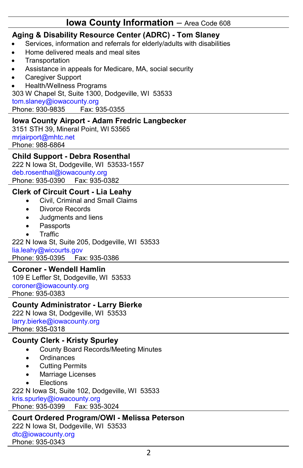## **Iowa County Information** – Area Code 608

### **Aging & Disability Resource Center (ADRC) - Tom Slaney**

- Services, information and referrals for elderly/adults with disabilities
- Home delivered meals and meal sites
- **Transportation**
- Assistance in appeals for Medicare, MA, social security
- Caregiver Support

• Health/Wellness Programs 303 W Chapel St, Suite 1300, Dodgeville, WI 53533 [tom.slaney@iowacounty.org](mailto:tom.slaney@iowacounty.org) Phone: 930-9835 Fax: 935-0355

### **Iowa County Airport - Adam Fredric Langbecker**

3151 STH 39, Mineral Point, WI 53565 [mrjairport@mhtc.net](mailto:mrjairport@mhtc.net) Phone: 988-6864

#### **Child Support - Debra Rosenthal**

222 N Iowa St, Dodgeville, WI 53533-1557 [deb.rosenthal@iowacounty.org](mailto:deb.rosenthal@iowacounty.org) Phone: 935-0390 Fax: 935-0382

### **Clerk of Circuit Court - Lia Leahy**

- Civil, Criminal and Small Claims
- Divorce Records
- Judgments and liens
- **Passports**
- **Traffic**

222 N Iowa St, Suite 205, Dodgeville, WI 53533 [lia.leahy@wicourts.gov](mailto:lia.leahy@wicourts.gov) Phone: 935-0395 Fax: 935-0386

#### **Coroner - Wendell Hamlin**

109 E Leffler St, Dodgeville, WI 53533 [coroner@iowacounty.org](mailto:coroner@iowacounty.org) Phone: 935-0383

#### **County Administrator - Larry Bierke**

222 N Iowa St, Dodgeville, WI 53533 [larry.bierke@iowacounty.org](mailto:larry.bierke@iowacounty.org) Phone: 935-0318

### **County Clerk - Kristy Spurley**

- County Board Records/Meeting Minutes
- Ordinances
- Cutting Permits
- Marriage Licenses
- **Elections**

222 N Iowa St, Suite 102, Dodgeville, WI 53533 [kris.spurley@iowacounty.org](mailto:kris.spurley@iowacounty.org) Phone: 935-0399 Fax: 935-3024

#### **Court Ordered Program/OWI - Melissa Peterson**

222 N Iowa St, Dodgeville, WI 53533 [dtc@iowacounty.org](mailto:dtc@iowacounty.org) Phone: 935-0343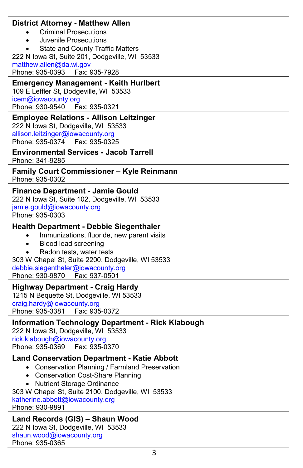#### **District Attorney - Matthew Allen**

- Criminal Prosecutions
- Juvenile Prosecutions

State and County Traffic Matters 222 N Iowa St, Suite 201, Dodgeville, WI 53533 [matthew.allen@da.wi.gov](mailto:matthew.allen@da.wi.gov) Phone: 935-0393 Fax: 935-7928

#### **Emergency Management - Keith Hurlbert** 109 E Leffler St, Dodgeville, WI 53533 [icem@iowacounty.org](mailto:icem@iowacounty.org)

Phone: 930-9540 Fax: 935-0321

### **Employee Relations - Allison Leitzinger**

222 N Iowa St, Dodgeville, WI 53533 [allison.leitzinger@iowacounty.org](mailto:allison.leitzinger@iowacounty.org) Phone: 935-0374 Fax: 935-0325

**Environmental Services - Jacob Tarrell** Phone: 341-9285

#### **Family Court Commissioner – Kyle Reinmann** Phone: 935-0302

## **Finance Department - Jamie Gould**

222 N Iowa St, Suite 102, Dodgeville, WI 53533 [jamie.gould@iowacounty.org](mailto:jamie.gould@iowacounty.org) Phone: 935-0303

### **Health Department - Debbie Siegenthaler**

- Immunizations, fluoride, new parent visits
- Blood lead screening
- Radon tests, water tests

303 W Chapel St, Suite 2200, Dodgeville, WI 53533 [debbie.siegenthaler@iowacounty.org](mailto:sue.matye@iowacounty.org) Phone: 930-9870

### **Highway Department - Craig Hardy**

1215 N Bequette St, Dodgeville, WI 53533 [craig.hardy@iowacounty.org](mailto:craig.hardy@iowacounty.org) Phone: 935-3381 Fax: 935-0372

### **Information Technology Department - Rick Klabough**

222 N Iowa St, Dodgeville, WI 53533 [rick.klabough@iowacounty.org](mailto:rick.klabough@iowacounty.org) Phone: 935-0369 Fax: 935-0370

## **Land Conservation Department - Katie Abbott**

- Conservation Planning / Farmland Preservation
- Conservation Cost-Share Planning
- Nutrient Storage Ordinance

303 W Chapel St, Suite 2100, Dodgeville, WI 53533

[katherine.abbott@iowacounty.org](mailto:katherine.abbott@iowacounty.org) Phone: 930-9891

### **Land Records (GIS) – Shaun Wood**

222 N Iowa St, Dodgeville, WI 53533 [shaun.wood@iowacounty.org](mailto:shaun.wood@iowacounty.org) Phone: 935-0365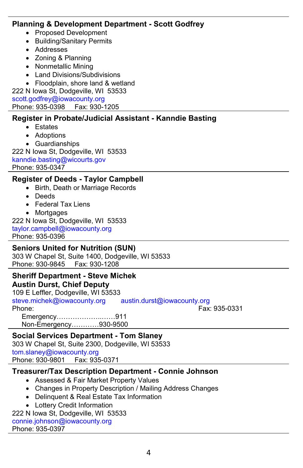#### **Planning & Development Department - Scott Godfrey**

- Proposed Development
- Building/Sanitary Permits
- Addresses
- Zoning & Planning
- Nonmetallic Mining
- Land Divisions/Subdivisions
- Floodplain, shore land & wetland

222 N Iowa St, Dodgeville, WI 53533 [scott.godfrey@iowacounty.org](mailto:scott.godfrey@mail.iowacounty.org) Phone: 935-0398 Fax: 930-1205

## **Register in Probate/Judicial Assistant - Kanndie Basting**

- Estates
- Adoptions
- Guardianships

222 N Iowa St, Dodgeville, WI 53533 [kanndie.basting@wicourts.gov](mailto:kanndie.basting@wicourts.gov) Phone: 935-0347

## **Register of Deeds - Taylor Campbell**

- Birth, Death or Marriage Records
- Deeds
- Federal Tax Liens
- Mortgages

222 N Iowa St, Dodgeville, WI 53533 [taylor.campbell@iowacounty.org](mailto:taylor.campbell@iowacounty.org) Phone: 935-0396

## **Seniors United for Nutrition (SUN)**

303 W Chapel St, Suite 1400, Dodgeville, WI 53533 Phone: 930-9845 Fax: 930-1208

#### **Sheriff Department - Steve Michek Austin Durst, Chief Deputy**

109 E Leffler, Dodgeville, WI 53533<br>steve.michek@iowacounty.org austin.durst@iowacounty.org steve.michek@iowacounty.org<br>Phone: Phone: Fax: 935-0331 Emergency………………..……911 Non-Emergency…………930-9500

#### **Social Services Department - Tom Slaney** 303 W Chapel St, Suite 2300, Dodgeville, WI 53533 [tom.slaney@iowacounty.org](mailto:tom.slaney@iowacounty.org)

Phone: 930-9801 Fax: 935-0371

## **Treasurer/Tax Description Department - Connie Johnson**

- Assessed & Fair Market Property Values
- Changes in Property Description / Mailing Address Changes
- Delinquent & Real Estate Tax Information
- Lottery Credit Information

## 222 N Iowa St, Dodgeville, WI 53533

[connie.johnson@iowacounty.org](mailto:connie.johnson@iowacounty.org) Phone: 935-0397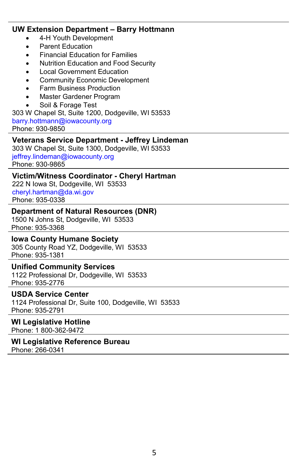#### **UW Extension Department – Barry Hottmann**

- 4-H Youth Development
- Parent Education
- Financial Education for Families
- Nutrition Education and Food Security
- **Local Government Education**
- Community Economic Development
- Farm Business Production
- Master Gardener Program
- Soil & Forage Test

303 W Chapel St, Suite 1200, Dodgeville, WI 53533

[barry.hottmann@iowacounty.org](mailto:barry.hottmann@iowacounty.org)

Phone: 930-9850

#### **Veterans Service Department - Jeffrey Lindeman**

303 W Chapel St, Suite 1300, Dodgeville, WI 53533 [jeffrey.lindeman@iowacounty.org](mailto:jeffrey.lindeman@iowacounty.org) Phone: 930-9865

#### **Victim/Witness Coordinator - Cheryl Hartman**

222 N Iowa St, Dodgeville, WI 53533 [cheryl.hartman@da.wi.gov](mailto:cheryl.hartman@da.wi.gov) Phone: 935-0338

#### **Department of Natural Resources (DNR)**

1500 N Johns St, Dodgeville, WI 53533 Phone: 935-3368

#### **Iowa County Humane Society**

305 County Road YZ, Dodgeville, WI 53533 Phone: 935-1381

#### **Unified Community Services**

1122 Professional Dr, Dodgeville, WI 53533 Phone: 935-2776

#### **USDA Service Center**

1124 Professional Dr, Suite 100, Dodgeville, WI 53533 Phone: 935-2791

#### **WI Legislative Hotline**

Phone: 1 800-362-9472

#### **WI Legislative Reference Bureau** Phone: 266-0341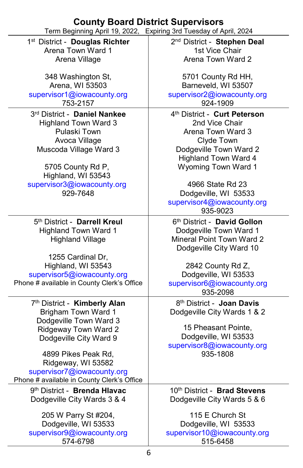## **County Board District Supervisors**

| Term Beginning April 19, 2022,               | Expiring 3rd Tuesday of April, 2024       |
|----------------------------------------------|-------------------------------------------|
| 1 <sup>st</sup> District - Douglas Richter   | 2 <sup>nd</sup> District - Stephen Deal   |
| Arena Town Ward 1                            | 1st Vice Chair                            |
| Arena Village                                | Arena Town Ward 2                         |
|                                              |                                           |
| 348 Washington St,                           | 5701 County Rd HH,                        |
| Arena, WI 53503                              | Barneveld, WI 53507                       |
| supervisor1@iowacounty.org                   | supervisor2@iowacounty.org                |
| 753-2157                                     | 924-1909                                  |
| 3rd District - Daniel Nankee                 | 4th District - Curt Peterson              |
| <b>Highland Town Ward 3</b>                  | 2nd Vice Chair                            |
| Pulaski Town                                 | Arena Town Ward 3                         |
| Avoca Village                                | Clyde Town                                |
| Muscoda Village Ward 3                       | Dodgeville Town Ward 2                    |
|                                              | <b>Highland Town Ward 4</b>               |
| 5705 County Rd P,                            | Wyoming Town Ward 1                       |
| Highland, WI 53543                           |                                           |
| supervisor3@iowacounty.org                   | 4966 State Rd 23                          |
| 929-7648                                     | Dodgeville, WI 53533                      |
|                                              | supervisor4@iowacounty.org                |
|                                              | 935-9023                                  |
| 5th District - Darrell Kreul                 | 6th District - David Gollon               |
| <b>Highland Town Ward 1</b>                  | Dodgeville Town Ward 1                    |
| <b>Highland Village</b>                      | Mineral Point Town Ward 2                 |
|                                              | Dodgeville City Ward 10                   |
| 1255 Cardinal Dr,<br>Highland, WI 53543      |                                           |
| supervisor5@iowacounty.org                   | 2842 County Rd Z,<br>Dodgeville, WI 53533 |
| Phone # available in County Clerk's Office   | supervisor6@iowacounty.org                |
|                                              | 935-2098                                  |
| 7th District - Kimberly Alan                 | 8 <sup>th</sup> District - Joan Davis     |
| <b>Brigham Town Ward 1</b>                   | Dodgeville City Wards 1 & 2               |
| Dodgeville Town Ward 3                       |                                           |
| Ridgeway Town Ward 2                         | 15 Pheasant Pointe,                       |
| Dodgeville City Ward 9                       | Dodgeville, WI 53533                      |
|                                              | supervisor8@iowacounty.org                |
| 4899 Pikes Peak Rd,                          | 935-1808                                  |
| Ridgeway, WI 53582                           |                                           |
| supervisor7@iowacounty.org                   |                                           |
| Phone # available in County Clerk's Office   |                                           |
| 9th District - Brenda Hlavac                 | 10th District - Brad Stevens              |
| Dodgeville City Wards 3 & 4                  | Dodgeville City Wards 5 & 6               |
|                                              | 115 E Church St                           |
| 205 W Parry St #204,<br>Dodgeville, WI 53533 | Dodgeville, WI 53533                      |
| supervisor9@iowacounty.org                   | supervisor10@iowacounty.org               |
| 574-6798                                     | 515-6458                                  |
|                                              |                                           |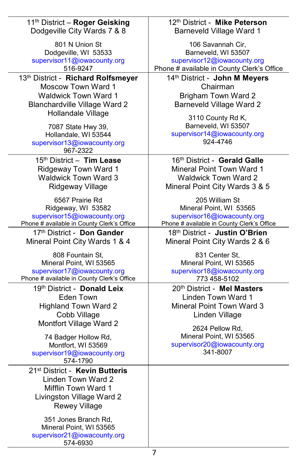| 11 <sup>th</sup> District - Roger Geisking                                                                                                                                                                                              | 12th District - Mike Peterson                                                                                                                                                                     |
|-----------------------------------------------------------------------------------------------------------------------------------------------------------------------------------------------------------------------------------------|---------------------------------------------------------------------------------------------------------------------------------------------------------------------------------------------------|
| Dodgeville City Wards 7 & 8                                                                                                                                                                                                             | <b>Barneveld Village Ward 1</b>                                                                                                                                                                   |
| 801 N Union St                                                                                                                                                                                                                          | 106 Savannah Cir,                                                                                                                                                                                 |
| Dodgeville, WI 53533                                                                                                                                                                                                                    | Barneveld, WI 53507                                                                                                                                                                               |
| supervisor11@iowacounty.org                                                                                                                                                                                                             | supervisor12@iowacounty.org                                                                                                                                                                       |
| 516-9247                                                                                                                                                                                                                                | Phone # available in County Clerk's Office                                                                                                                                                        |
| 13th District - Richard Rolfsmeyer<br>Moscow Town Ward 1<br><b>Waldwick Town Ward 1</b><br>Blanchardville Village Ward 2<br>Hollandale Village<br>7087 State Hwy 39,<br>Hollandale, WI 53544<br>supervisor13@iowacounty.org<br>967-2322 | 14th District - John M Meyers<br>Chairman<br><b>Brigham Town Ward 2</b><br><b>Barneveld Village Ward 2</b><br>3110 County Rd K,<br>Barneveld, WI 53507<br>supervisor14@iowacounty.org<br>924-4746 |
| 15th District - Tim Lease                                                                                                                                                                                                               | 16th District - Gerald Galle                                                                                                                                                                      |
| Ridgeway Town Ward 1                                                                                                                                                                                                                    | <b>Mineral Point Town Ward 1</b>                                                                                                                                                                  |
| <b>Waldwick Town Ward 3</b>                                                                                                                                                                                                             | <b>Waldwick Town Ward 2</b>                                                                                                                                                                       |
| Ridgeway Village                                                                                                                                                                                                                        | Mineral Point City Wards 3 & 5                                                                                                                                                                    |
| 6567 Prairie Rd                                                                                                                                                                                                                         | 205 William St                                                                                                                                                                                    |
| Ridgeway, WI 53582                                                                                                                                                                                                                      | Mineral Point, WI 53565                                                                                                                                                                           |
| supervisor15@iowacounty.org                                                                                                                                                                                                             | supervisor16@iowacounty.org                                                                                                                                                                       |
| Phone # available in County Clerk's Office                                                                                                                                                                                              | Phone # available in County Clerk's Office                                                                                                                                                        |
| 17th District - Don Gander                                                                                                                                                                                                              | 18th District - Justin O'Brien                                                                                                                                                                    |
| Mineral Point City Wards 1 & 4                                                                                                                                                                                                          | Mineral Point City Wards 2 & 6                                                                                                                                                                    |
| 808 Fountain St,                                                                                                                                                                                                                        | 831 Center St.                                                                                                                                                                                    |
| Mineral Point, WI 53565                                                                                                                                                                                                                 | Mineral Point, WI 53565                                                                                                                                                                           |
| supervisor17@iowacounty.org                                                                                                                                                                                                             | supervisor18@iowacounty.org                                                                                                                                                                       |
| Phone # available in County Clerk's Office                                                                                                                                                                                              | 773 458-5102                                                                                                                                                                                      |
| 19th District - Donald Leix                                                                                                                                                                                                             | 20th District - Mel Masters                                                                                                                                                                       |
| Eden Town                                                                                                                                                                                                                               | Linden Town Ward 1                                                                                                                                                                                |
| <b>Highland Town Ward 2</b>                                                                                                                                                                                                             | Mineral Point Town Ward 3                                                                                                                                                                         |
| Cobb Village                                                                                                                                                                                                                            | Linden Village                                                                                                                                                                                    |
| Montfort Village Ward 2                                                                                                                                                                                                                 | 2624 Pellow Rd,                                                                                                                                                                                   |
| 74 Badger Hollow Rd,                                                                                                                                                                                                                    | Mineral Point, WI 53565                                                                                                                                                                           |
| Montfort, WI 53569<br>supervisor19@iowacounty.org<br>574-1790                                                                                                                                                                           | supervisor20@iowacounty.org<br>341-8007                                                                                                                                                           |
| 21 <sup>st</sup> District - Kevin Butteris<br>Linden Town Ward 2<br>Mifflin Town Ward 1<br>Livingston Village Ward 2<br><b>Rewey Village</b>                                                                                            |                                                                                                                                                                                                   |
| 351 Jones Branch Rd,<br>Mineral Point, WI 53565<br>supervisor21@iowacounty.org<br>574-6930                                                                                                                                              |                                                                                                                                                                                                   |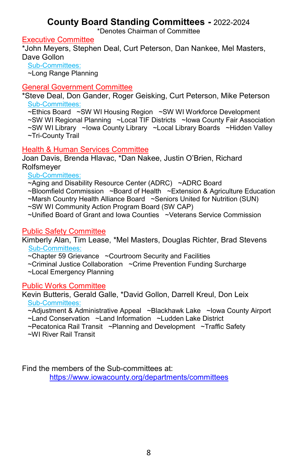## **County Board Standing Committees -** 2022-2024

\*Denotes Chairman of Committee

#### Executive Committee

\*John Meyers, Stephen Deal, Curt Peterson, Dan Nankee, Mel Masters, Dave Gollon

 Sub-Committees: ~Long Range Planning

## General Government Committee

\*Steve Deal, Don Gander, Roger Geisking, Curt Peterson, Mike Peterson Sub-Committees:

~Ethics Board ~SW WI Housing Region ~SW WI Workforce Development

~SW WI Regional Planning ~Local TIF Districts ~Iowa County Fair Association

~SW WI Library ~Iowa County Library ~Local Library Boards ~Hidden Valley

~Tri-County Trail

## Health & Human Services Committee

Joan Davis, Brenda Hlavac, \*Dan Nakee, Justin O'Brien, Richard Rolfsmeyer

Sub-Committees:

~Aging and Disability Resource Center (ADRC) ~ADRC Board

~Bloomfield Commission ~Board of Health ~Extension & Agriculture Education

~Marsh Country Health Alliance Board ~Seniors United for Nutrition (SUN)

~SW WI Community Action Program Board (SW CAP)

~Unified Board of Grant and Iowa Counties ~Veterans Service Commission

## Public Safety Committee

Kimberly Alan, Tim Lease, \*Mel Masters, Douglas Richter, Brad Stevens Sub-Committees:

~Chapter 59 Grievance ~Courtroom Security and Facilities

~Criminal Justice Collaboration ~Crime Prevention Funding Surcharge

~Local Emergency Planning

## Public Works Committee

Kevin Butteris, Gerald Galle, \*David Gollon, Darrell Kreul, Don Leix Sub-Committees:

~Adjustment & Administrative Appeal ~Blackhawk Lake ~Iowa County Airport

~Land Conservation ~Land Information ~Ludden Lake District

~Pecatonica Rail Transit ~Planning and Development ~Traffic Safety

~WI River Rail Transit

Find the members of the Sub-committees at:

<https://www.iowacounty.org/departments/committees>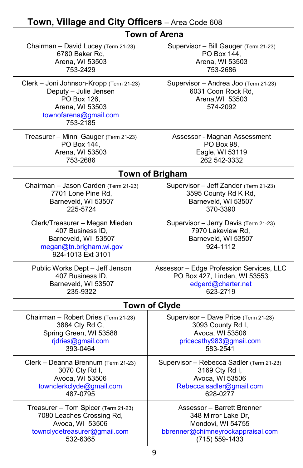| Town of Arena                                                                                                                           |                                                                                               |  |
|-----------------------------------------------------------------------------------------------------------------------------------------|-----------------------------------------------------------------------------------------------|--|
| Chairman - David Lucey (Term 21-23)                                                                                                     | Supervisor - Bill Gauger (Term 21-23)                                                         |  |
| 6780 Baker Rd,                                                                                                                          | PO Box 144,                                                                                   |  |
| Arena, WI 53503                                                                                                                         | Arena, WI 53503                                                                               |  |
| 753-2429                                                                                                                                | 753-2686                                                                                      |  |
| Clerk - Joni Johnson-Kropp (Term 21-23)<br>Deputy - Julie Jensen<br>PO Box 126,<br>Arena, WI 53503<br>townofarena@gmail.com<br>753-2185 | Supervisor - Andrea Joo (Term 21-23)<br>6031 Coon Rock Rd,<br>Arena, WI 53503<br>574-2092     |  |
| Treasurer - Minni Gauger (Term 21-23)                                                                                                   | Assessor - Magnan Assessment                                                                  |  |
| PO Box 144,                                                                                                                             | PO Box 98,                                                                                    |  |
| Arena, WI 53503                                                                                                                         | Eagle, WI 53119                                                                               |  |
| 753-2686                                                                                                                                | 262 542-3332                                                                                  |  |
|                                                                                                                                         | <b>Town of Brigham</b>                                                                        |  |
| Chairman - Jason Carden (Term 21-23)                                                                                                    | Supervisor - Jeff Zander (Term 21-23)                                                         |  |
| 7701 Lone Pine Rd,                                                                                                                      | 3595 County Rd K Rd,                                                                          |  |
| Barneveld, WI 53507                                                                                                                     | Barneveld, WI 53507                                                                           |  |
| 225-5724                                                                                                                                | 370-3390                                                                                      |  |
| Clerk/Treasurer - Megan Mieden<br>407 Business ID,<br>Barneveld, WI 53507<br>megan@tn.brigham.wi.gov<br>924-1013 Ext 3101               | Supervisor - Jerry Davis (Term 21-23)<br>7970 Lakeview Rd,<br>Barneveld, WI 53507<br>924-1112 |  |
| Public Works Dept - Jeff Jenson                                                                                                         | Assessor - Edge Profession Services, LLC                                                      |  |
| 407 Business ID,                                                                                                                        | PO Box 427, Linden, WI 53553                                                                  |  |
| Barneveld, WI 53507                                                                                                                     | edgerd@charter.net                                                                            |  |
| 235-9322                                                                                                                                | 623-2719                                                                                      |  |
| <b>Town of Clyde</b>                                                                                                                    |                                                                                               |  |
| Chairman - Robert Dries (Term 21-23)                                                                                                    | Supervisor - Dave Price (Term 21-23)                                                          |  |
| 3884 Cty Rd C,                                                                                                                          | 3093 County Rd I,                                                                             |  |
| Spring Green, WI 53588                                                                                                                  | Avoca, WI 53506                                                                               |  |
| rjdries@gmail.com                                                                                                                       | pricecathy983@gmail.com                                                                       |  |
| 393-0464                                                                                                                                | 583-2541                                                                                      |  |
| Clerk - Deanna Brennum (Term 21-23)                                                                                                     | Supervisor - Rebecca Sadler (Term 21-23)                                                      |  |
| 3070 Cty Rd I,                                                                                                                          | 3169 Cty Rd I,                                                                                |  |
| Avoca, WI 53506                                                                                                                         | Avoca, WI 53506                                                                               |  |
| townclerkclyde@gmail.com                                                                                                                | Rebecca.sadler@gmail.com                                                                      |  |
| 487-0795                                                                                                                                | 628-0277                                                                                      |  |
| Treasurer - Tom Spicer (Term 21-23)                                                                                                     | Assessor - Barrett Brenner                                                                    |  |
| 7080 Leaches Crossing Rd,                                                                                                               | 348 Mirror Lake Dr,                                                                           |  |
| Avoca, WI 53506                                                                                                                         | Mondovi, WI 54755                                                                             |  |
| townclydetreasurer@gmail.com                                                                                                            | bbrenner@chimneyrockappraisal.com                                                             |  |
| 532-6365                                                                                                                                | (715) 559-1433                                                                                |  |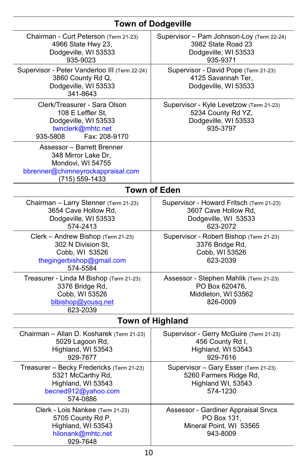## **Town of Dodgeville**

| Chairman - Curt Peterson (Term 21-23)<br>4966 State Hwy 23,<br>Dodgeville, WI 53533<br>935-9023                               | Supervisor - Pam Johnson-Loy (Term 22-24)<br>3982 State Road 23<br>Dodgeville, WI 53533<br>935-9371  |  |
|-------------------------------------------------------------------------------------------------------------------------------|------------------------------------------------------------------------------------------------------|--|
| Supervisor - Peter Vanderloo III (Term 22-24)<br>3860 County Rd Q,<br>Dodgeville, WI 53533<br>341-8643                        | Supervisor - David Pope (Term 21-23)<br>4125 Savannah Ter,<br>Dodgeville, WI 53533                   |  |
| Clerk/Treasurer - Sara Olson<br>108 E Leffler St,<br>Dodgeville, WI 53533<br>twnclerk@mhtc.net<br>Fax: 208-9170<br>935-5808   | Supervisor - Kyle Levetzow (Term 21-23)<br>5234 County Rd YZ,<br>Dodgeville, WI 53533<br>935-3797    |  |
| Assessor - Barrett Brenner<br>348 Mirror Lake Dr,<br>Mondovi, WI 54755<br>bbrenner@chimneyrockappraisal.com<br>(715) 559-1433 |                                                                                                      |  |
|                                                                                                                               | <b>Town of Eden</b>                                                                                  |  |
| Chairman - Larry Stenner (Term 21-23)<br>3654 Cave Hollow Rd,<br>Dodgeville, WI 53533<br>574-2413                             | Supervisor - Howard Fritsch (Term 21-23)<br>3607 Cave Hollow Rd,<br>Dodgeville, WI 53533<br>623-2072 |  |
| Clerk - Andrew Bishop (Term 21-23)<br>302 N Division St.<br>Cobb, WI 53526<br>thegingerbishop@gmail.com<br>574-5584           | Supervisor - Robert Bishop (Term 21-23)<br>3376 Bridge Rd,<br>Cobb, WI 53526<br>623-2039             |  |
| Treasurer - Linda M Bishop (Term 21-23)<br>3376 Bridge Rd,<br>Cobb, WI 53526<br>blbishop@yousq.net<br>623-2039                | Assessor - Stephen Mahlik (Term 21-23)<br>PO Box 620476,<br>Middleton, WI 53562<br>826-0009          |  |
| <b>Town of Highland</b>                                                                                                       |                                                                                                      |  |
| Chairman - Allan D. Kosharek (Term 21-23)<br>5029 Lagoon Rd,<br>Highland, WI 53543<br>929-7677                                | Supervisor - Gerry McGuire (Term 21-23)<br>456 County Rd I,<br>Highland, WI 53543<br>929-7616        |  |
| Treasurer - Becky Fredericks (Term 21-23)<br>5321 McCarthy Rd,<br>Highland, WI 53543<br>becned912@yahoo.com<br>574-0886       | Supervisor - Gary Esser (Term 21-23)<br>5260 Farmers Ridge Rd,<br>Highland WI, 53543<br>574-1230     |  |
| Clerk - Lois Nankee (Term 21-23)<br>5705 County Rd P,<br>Highland, WI 53543<br>hilonank@mhtc.net<br>929-7648                  | Assessor - Gardiner Appraisal Srvcs<br>PO Box 131,<br>Mineral Point, WI 53565<br>943-8009            |  |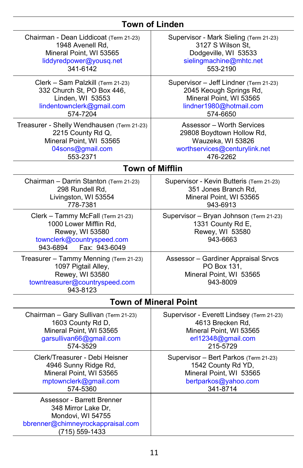## **Town of Linden**

| Chairman - Dean Liddicoat (Term 21-23)                                                                                                    | Supervisor - Mark Sieling (Term 21-23)                                                      |  |
|-------------------------------------------------------------------------------------------------------------------------------------------|---------------------------------------------------------------------------------------------|--|
| 1948 Avenell Rd,                                                                                                                          | 3127 S Wilson St.                                                                           |  |
| Mineral Point, WI 53565                                                                                                                   | Dodgeville, WI 53533                                                                        |  |
| liddyredpower@yousq.net                                                                                                                   | sielingmachine@mhtc.net                                                                     |  |
| 341-6142                                                                                                                                  | 553-2190                                                                                    |  |
| Clerk - Sam Palzkill (Term 21-23)                                                                                                         | Supervisor - Jeff Lindner (Term 21-23)                                                      |  |
| 332 Church St, PO Box 446,                                                                                                                | 2045 Keough Springs Rd,                                                                     |  |
| Linden, WI 53553                                                                                                                          | Mineral Point, WI 53565                                                                     |  |
| lindentownclerk@gmail.com                                                                                                                 | lindner1980@hotmail.com                                                                     |  |
| 574-7204                                                                                                                                  | 574-6650                                                                                    |  |
| Treasurer - Shelly Wendhausen (Term 21-23)                                                                                                | Assessor - Worth Services                                                                   |  |
| 2215 County Rd Q,                                                                                                                         | 29808 Boydtown Hollow Rd,                                                                   |  |
| Mineral Point, WI 53565                                                                                                                   | Wauzeka, WI 53826                                                                           |  |
| 04sons@gmail.com                                                                                                                          | worthservices@centurylink.net                                                               |  |
| 553-2371                                                                                                                                  | 476-2262                                                                                    |  |
|                                                                                                                                           | <b>Town of Mifflin</b>                                                                      |  |
| Chairman - Darrin Stanton (Term 21-23)                                                                                                    | Supervisor - Kevin Butteris (Term 21-23)                                                    |  |
| 298 Rundell Rd,                                                                                                                           | 351 Jones Branch Rd,                                                                        |  |
| Livingston, WI 53554                                                                                                                      | Mineral Point, WI 53565                                                                     |  |
| 778-7381                                                                                                                                  | 943-6913                                                                                    |  |
| Clerk - Tammy McFall (Term 21-23)<br>1000 Lower Mifflin Rd,<br>Rewey, WI 53580<br>townclerk@countryspeed.com<br>Fax: 943-6049<br>943-6894 | Supervisor - Bryan Johnson (Term 21-23)<br>1331 County Rd E,<br>Rewey, WI 53580<br>943-6663 |  |
| Treasurer - Tammy Menning (Term 21-23)<br>1097 Pigtail Alley,<br>Rewey, WI 53580<br>towntreasurer@countryspeed.com<br>943-8123            | Assessor - Gardiner Appraisal Srvcs<br>PO Box 131,<br>Mineral Point, WI 53565<br>943-8009   |  |
| <b>Town of Mineral Point</b>                                                                                                              |                                                                                             |  |
| Chairman - Gary Sullivan (Term 21-23)                                                                                                     | Supervisor - Everett Lindsey (Term 21-23)                                                   |  |
| 1603 County Rd D,                                                                                                                         | 4613 Brecken Rd,                                                                            |  |
| Mineral Point, WI 53565                                                                                                                   | Mineral Point, WI 53565                                                                     |  |
| garsullivan66@gmail.com                                                                                                                   | erl12348@gmail.com                                                                          |  |
| 574-3529                                                                                                                                  | 215-5729                                                                                    |  |
| Clerk/Treasurer - Debi Heisner                                                                                                            | Supervisor - Bert Parkos (Term 21-23)                                                       |  |
| 4946 Sunny Ridge Rd,                                                                                                                      | 1542 County Rd YD,                                                                          |  |
| Mineral Point, WI 53565                                                                                                                   | Mineral Point, WI 53565                                                                     |  |
| mptownclerk@gmail.com                                                                                                                     | bertparkos@yahoo.com                                                                        |  |
| 574-5360                                                                                                                                  | 341-8714                                                                                    |  |
| Assessor - Barrett Brenner<br>348 Mirror Lake Dr,<br>Mondovi, WI 54755<br>bbrenner@chimneyrockappraisal.com<br>(715) 559-1433             |                                                                                             |  |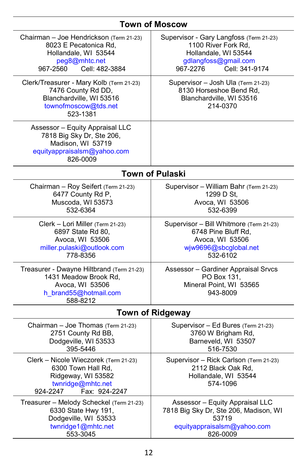## **Town of Moscow**

| Chairman - Joe Hendrickson (Term 21-23)<br>8023 E Pecatonica Rd,<br>Hollandale, WI 53544<br>peg8@mhtc.net<br>967-2560<br>Cell: 482-3884 | Supervisor - Gary Langfoss (Term 21-23)<br>1100 River Fork Rd,<br>Hollandale, WI 53544<br>gdlangfoss@gmail.com<br>967-2276<br>Cell: 341-9174 |  |
|-----------------------------------------------------------------------------------------------------------------------------------------|----------------------------------------------------------------------------------------------------------------------------------------------|--|
| Clerk/Treasurer - Mary Kolb (Term 21-23)<br>7476 County Rd DD,<br>Blanchardville, WI 53516<br>townofmoscow@tds.net<br>523-1381          | Supervisor - Josh Ula (Term 21-23)<br>8130 Horseshoe Bend Rd,<br>Blanchardville, WI 53516<br>214-0370                                        |  |
| Assessor - Equity Appraisal LLC<br>7818 Big Sky Dr, Ste 206,<br>Madison, WI 53719<br>equityappraisalsm@yahoo.com<br>826-0009            |                                                                                                                                              |  |
| <b>Town of Pulaski</b>                                                                                                                  |                                                                                                                                              |  |
| Chairman - Roy Seifert (Term 21-23)<br>6477 County Rd P,<br>Muscoda, WI 53573<br>532-6364                                               | Supervisor - William Bahr (Term 21-23)<br>1299 D St,<br>Avoca, WI 53506<br>532-6399                                                          |  |
| Clerk - Lori Miller (Term 21-23)<br>6897 State Rd 80,<br>Avoca, WI 53506<br>miller.pulaski@outlook.com<br>778-8356                      | Supervisor - Bill Whitmore (Term 21-23)<br>6748 Pine Bluff Rd,<br>Avoca, WI 53506<br>wjw9696@sbcglobal.net<br>532-6102                       |  |
| Treasurer - Dwayne Hiltbrand (Term 21-23)<br>1431 Meadow Brook Rd,<br>Avoca, WI 53506<br>h_brand55@hotmail.com<br>588-8212              | Assessor - Gardiner Appraisal Srvcs<br>PO Box 131,<br>Mineral Point, WI 53565<br>943-8009                                                    |  |
| <b>Town of Ridgeway</b>                                                                                                                 |                                                                                                                                              |  |
| Chairman - Joe Thomas (Term 21-23)<br>2751 County Rd BB,<br>Dodgeville, WI 53533<br>395-5446                                            | Supervisor - Ed Bures (Term 21-23)<br>3760 W Brigham Rd,<br>Barneveld, WI 53507<br>516-7530                                                  |  |
| Clerk - Nicole Wieczorek (Term 21-23)<br>6300 Town Hall Rd,<br>Ridgeway, WI 53582<br>twnridge@mhtc.net<br>924-2247<br>Fax: 924-2247     | Supervisor - Rick Carlson (Term 21-23)<br>2112 Black Oak Rd,<br>Hollandale, WI 53544<br>574-1096                                             |  |
| Treasurer - Melody Scheckel (Term 21-23)<br>6330 State Hwy 191,<br>Dodgeville, WI 53533<br>twnridge1@mhtc.net<br>553-3045               | Assessor - Equity Appraisal LLC<br>7818 Big Sky Dr, Ste 206, Madison, WI<br>53719<br>equityappraisalsm@yahoo.com<br>826-0009                 |  |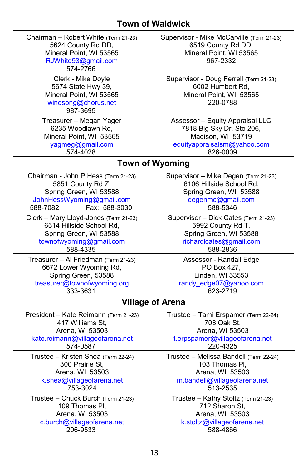## **Town of Waldwick**

| Chairman - Robert White (Term 21-23)<br>5624 County Rd DD,<br>Mineral Point, WI 53565<br>RJWhite93@gmail.com<br>574-2766                     | Supervisor - Mike McCarville (Term 21-23)<br>6519 County Rd DD,<br>Mineral Point, WI 53565<br>967-2332                      |  |
|----------------------------------------------------------------------------------------------------------------------------------------------|-----------------------------------------------------------------------------------------------------------------------------|--|
| Clerk - Mike Doyle<br>5674 State Hwy 39,<br>Mineral Point, WI 53565<br>windsong@chorus.net<br>987-3695                                       | Supervisor - Doug Ferrell (Term 21-23)<br>6002 Humbert Rd,<br>Mineral Point, WI 53565<br>220-0788                           |  |
| Treasurer - Megan Yager                                                                                                                      | Assessor - Equity Appraisal LLC                                                                                             |  |
| 6235 Woodlawn Rd,                                                                                                                            | 7818 Big Sky Dr, Ste 206,                                                                                                   |  |
| Mineral Point, WI 53565                                                                                                                      | Madison, WI 53719                                                                                                           |  |
| yagmeg@gmail.com                                                                                                                             | equityappraisalsm@yahoo.com                                                                                                 |  |
| 574-4028                                                                                                                                     | 826-0009                                                                                                                    |  |
|                                                                                                                                              | <b>Town of Wyoming</b>                                                                                                      |  |
| Chairman - John P Hess (Term 21-23)<br>5851 County Rd Z,<br>Spring Green, WI 53588<br>JohnHessWyoming@gmail.com<br>Fax: 588-3030<br>588-7082 | Supervisor - Mike Degen (Term 21-23)<br>6106 Hillside School Rd,<br>Spring Green, WI 53588<br>degenmc@gmail.com<br>588-5346 |  |
| Clerk - Mary Lloyd-Jones (Term 21-23)                                                                                                        | Supervisor - Dick Cates (Term 21-23)                                                                                        |  |
| 6514 Hillside School Rd,                                                                                                                     | 5992 County Rd T,                                                                                                           |  |
| Spring Green, WI 53588                                                                                                                       | Spring Green, WI 53588                                                                                                      |  |
| townofwyoming@gmail.com                                                                                                                      | richardlcates@gmail.com                                                                                                     |  |
| 588-4335                                                                                                                                     | 588-2836                                                                                                                    |  |
| Treasurer - Al Friedman (Term 21-23)                                                                                                         | Assessor - Randall Edge                                                                                                     |  |
| 6672 Lower Wyoming Rd,                                                                                                                       | PO Box 427,                                                                                                                 |  |
| Spring Green, 53588                                                                                                                          | Linden, WI 53553                                                                                                            |  |
| treasurer@townofwyoming.org                                                                                                                  | randy_edge07@yahoo.com                                                                                                      |  |
| 333-3631                                                                                                                                     | 623-2719                                                                                                                    |  |
| <b>Village of Arena</b>                                                                                                                      |                                                                                                                             |  |
| President - Kate Reimann (Term 21-23)                                                                                                        | Trustee - Tami Erspamer (Term 22-24)                                                                                        |  |
| 417 Williams St,                                                                                                                             | 708 Oak St,                                                                                                                 |  |
| Arena, WI 53503                                                                                                                              | Arena, WI 53503                                                                                                             |  |
| kate.reimann@villageofarena.net                                                                                                              | t.erpspamer@villageofarena.net                                                                                              |  |
| 574-0587                                                                                                                                     | 220-4325                                                                                                                    |  |
| Trustee - Kristen Shea (Term 22-24)                                                                                                          | Trustee - Melissa Bandell (Term 22-24)                                                                                      |  |
| 300 Prairie St.                                                                                                                              | 103 Thomas PI,                                                                                                              |  |
| Arena, WI 53503                                                                                                                              | Arena, WI 53503                                                                                                             |  |
| k.shea@villageofarena.net                                                                                                                    | m.bandell@villageofarena.net                                                                                                |  |
| 753-3024                                                                                                                                     | 513-2535                                                                                                                    |  |
| Trustee - Chuck Burch (Term 21-23)                                                                                                           | Trustee - Kathy Stoltz (Term 21-23)                                                                                         |  |
| 109 Thomas Pl.                                                                                                                               | 712 Sharon St.                                                                                                              |  |
| Arena, WI 53503                                                                                                                              | Arena, WI 53503                                                                                                             |  |
| c.burch@villageofarena.net                                                                                                                   | k.stoltz@villageofarena.net                                                                                                 |  |
| 206-9533                                                                                                                                     | 588-4866                                                                                                                    |  |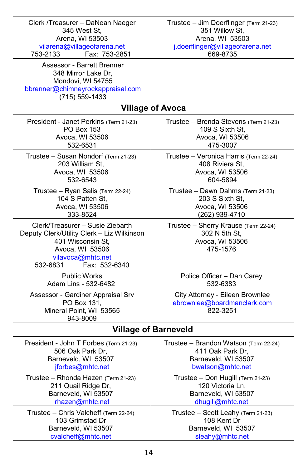| Clerk /Treasurer - DaNean Naeger<br>345 West St,<br>Arena, WI 53503<br>vilarena@villageofarena.net<br>753-2133<br>Fax: 753-2851                                          | Trustee - Jim Doerflinger (Term 21-23)<br>351 Willow St.<br>Arena, WI 53503<br>j.doerflinger@villageofarena.net<br>669-8735 |  |
|--------------------------------------------------------------------------------------------------------------------------------------------------------------------------|-----------------------------------------------------------------------------------------------------------------------------|--|
| Assessor - Barrett Brenner<br>348 Mirror Lake Dr,<br>Mondovi, WI 54755<br>bbrenner@chimneyrockappraisal.com<br>$(715) 559 - 1433$                                        |                                                                                                                             |  |
|                                                                                                                                                                          | <b>Village of Avoca</b>                                                                                                     |  |
| President - Janet Perkins (Term 21-23)                                                                                                                                   | Trustee - Brenda Stevens (Term 21-23)                                                                                       |  |
| <b>PO Box 153</b>                                                                                                                                                        | 109 S Sixth St,                                                                                                             |  |
| Avoca, WI 53506                                                                                                                                                          | Avoca, WI 53506                                                                                                             |  |
| 532-6531                                                                                                                                                                 | 475-3007                                                                                                                    |  |
| Trustee - Susan Nondorf (Term 21-23)                                                                                                                                     | Trustee - Veronica Harris (Term 22-24)                                                                                      |  |
| 203 William St.                                                                                                                                                          | 408 Riviera St,                                                                                                             |  |
| Avoca, WI 53506                                                                                                                                                          | Avoca, WI 53506                                                                                                             |  |
| 532-6543                                                                                                                                                                 | 604-5894                                                                                                                    |  |
| Trustee - Ryan Salis (Term 22-24)                                                                                                                                        | Trustee - Dawn Dahms (Term 21-23)                                                                                           |  |
| 104 S Patten St,                                                                                                                                                         | 203 S Sixth St,                                                                                                             |  |
| Avoca, WI 53506                                                                                                                                                          | Avoca, WI 53506                                                                                                             |  |
| 333-8524                                                                                                                                                                 | (262) 939-4710                                                                                                              |  |
| Clerk/Treasurer – Susie Ziebarth<br>Deputy Clerk/Utility Clerk - Liz Wilkinson<br>401 Wisconsin St,<br>Avoca, WI 53506<br>vilavoca@mhtc.net<br>532-6831<br>Fax: 532-6340 | Trustee - Sherry Krause (Term 22-24)<br>302 N 5th St,<br>Avoca, WI 53506<br>475-1576                                        |  |
| <b>Public Works</b>                                                                                                                                                      | Police Officer - Dan Carey                                                                                                  |  |
| Adam Lins - 532-6482                                                                                                                                                     | 532-6383                                                                                                                    |  |
| Assessor - Gardiner Appraisal Srv<br>PO Box 131,<br>Mineral Point, WI 53565<br>943-8009                                                                                  | City Attorney - Eileen Brownlee<br>ebrownlee@boardmanclark.com<br>822-3251                                                  |  |
| <b>Village of Barneveld</b>                                                                                                                                              |                                                                                                                             |  |
| President - John T Forbes (Term 21-23)                                                                                                                                   | Trustee - Brandon Watson (Term 22-24)                                                                                       |  |
| 506 Oak Park Dr.                                                                                                                                                         | 411 Oak Park Dr,                                                                                                            |  |
| Barneveld, WI 53507                                                                                                                                                      | Barneveld, WI 53507                                                                                                         |  |
| jforbes@mhtc.net                                                                                                                                                         | bwatson@mhtc.net                                                                                                            |  |
| Trustee – Rhonda Hazen (Term 21-23)                                                                                                                                      | Trustee - Don Hugill (Term 21-23)                                                                                           |  |
| 211 Quail Ridge Dr,                                                                                                                                                      | 120 Victoria Ln,                                                                                                            |  |
| Barneveld, WI 53507                                                                                                                                                      | Barneveld, WI 53507                                                                                                         |  |
| rhazen@mhtc.net                                                                                                                                                          | dhugill@mhtc.net                                                                                                            |  |
| Trustee - Chris Valcheff (Term 22-24)                                                                                                                                    | Trustee - Scott Leahy (Term 21-23)                                                                                          |  |
| 103 Grimstad Dr                                                                                                                                                          | 108 Kent Dr                                                                                                                 |  |
| Barneveld, WI 53507                                                                                                                                                      | Barneveld, WI 53507                                                                                                         |  |
| cvalcheff@mhtc.net                                                                                                                                                       | sleahy@mhtc.net                                                                                                             |  |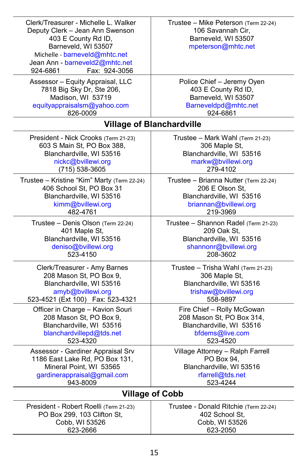| Clerk/Treasurer - Michelle L. Walker<br>Deputy Clerk - Jean Ann Swenson<br>403 E County Rd ID,<br>Barneveld, WI 53507<br>Michelle - barneveld@mhtc.net<br>Jean Ann - barneveld2@mhtc.net<br>Fax: 924-3056<br>924-6861 | Trustee - Mike Peterson (Term 22-24)<br>106 Savannah Cir,<br>Barneveld, WI 53507<br>mpeterson@mhtc.net |
|-----------------------------------------------------------------------------------------------------------------------------------------------------------------------------------------------------------------------|--------------------------------------------------------------------------------------------------------|
| Assessor - Equity Appraisal, LLC                                                                                                                                                                                      | Police Chief - Jeremy Oyen                                                                             |
| 7818 Big Sky Dr, Ste 206,                                                                                                                                                                                             | 403 E County Rd ID,                                                                                    |
| Madison, WI 53719                                                                                                                                                                                                     | Barneveld, WI 53507                                                                                    |
| equityappraisalsm@yahoo.com                                                                                                                                                                                           | Barneveldpd@mhtc.net                                                                                   |
| 826-0009                                                                                                                                                                                                              | 924-6861                                                                                               |
|                                                                                                                                                                                                                       | <b>Village of Blanchardville</b>                                                                       |
| President - Nick Crooks (Term 21-23)                                                                                                                                                                                  | Trustee - Mark Wahl (Term 21-23)                                                                       |
| 603 S Main St, PO Box 388,                                                                                                                                                                                            | 306 Maple St,                                                                                          |
| Blanchardville, WI 53516                                                                                                                                                                                              | Blanchardville, WI 53516                                                                               |
| nickc@bvillewi.org                                                                                                                                                                                                    | markw@bvillewi.org                                                                                     |
| $(715)$ 538-3605                                                                                                                                                                                                      | 279-4102                                                                                               |
| Trustee - Kristine "Kim" Marty (Term 22-24)                                                                                                                                                                           | Trustee - Brianna Nutter (Term 22-24)                                                                  |
| 406 School St, PO Box 31                                                                                                                                                                                              | 206 E Olson St.                                                                                        |
| Blanchardville, WI 53516                                                                                                                                                                                              | Blanchardville, WI 53516                                                                               |
| kimm@bvillewi.org                                                                                                                                                                                                     | briannan@bvillewi.org                                                                                  |
| 482-4761                                                                                                                                                                                                              | 219-3969                                                                                               |
| Trustee - Denis Olson (Term 22-24)                                                                                                                                                                                    | Trustee - Shannon Radel (Term 21-23)                                                                   |
| 401 Maple St,                                                                                                                                                                                                         | 209 Oak St,                                                                                            |
| Blanchardville, WI 53516                                                                                                                                                                                              | Blanchardville, WI 53516                                                                               |
| deniso@bvillewi.org                                                                                                                                                                                                   | shannonr@bvillewi.org                                                                                  |
| 523-4150                                                                                                                                                                                                              | 208-3602                                                                                               |
| Clerk/Treasurer - Amy Barnes                                                                                                                                                                                          | Trustee - Trisha Wahl (Term 21-23)                                                                     |
| 208 Mason St, PO Box 9,                                                                                                                                                                                               | 306 Maple St,                                                                                          |
| Blanchardville, WI 53516                                                                                                                                                                                              | Blanchardville, WI 53516                                                                               |
| amyb@bvillewi.org                                                                                                                                                                                                     | trishaw@bvillewi.org                                                                                   |
| 523-4521 (Ext 100) Fax: 523-4321                                                                                                                                                                                      | 558-9897                                                                                               |
| Officer in Charge - Kavion Souri                                                                                                                                                                                      | Fire Chief - Rolly McGowan                                                                             |
| 208 Mason St, PO Box 9,                                                                                                                                                                                               | 208 Mason St, PO Box 314,                                                                              |
| Blanchardville, WI 53516                                                                                                                                                                                              | Blanchardville, WI 53516                                                                               |
| blanchardvillepd@tds.net                                                                                                                                                                                              | bfdems@live.com                                                                                        |
| 523-4320                                                                                                                                                                                                              | 523-4520                                                                                               |
| Assessor - Gardiner Appraisal Srv                                                                                                                                                                                     | Village Attorney - Ralph Farrell                                                                       |
| 1186 East Lake Rd, PO Box 131,                                                                                                                                                                                        | PO Box 94,                                                                                             |
| Mineral Point, WI 53565                                                                                                                                                                                               | Blanchardville, WI 53516                                                                               |
| gardinerappraisal@gmail.com                                                                                                                                                                                           | rfarrell@tds.net                                                                                       |
| 943-8009                                                                                                                                                                                                              | 523-4244                                                                                               |
| <b>Village of Cobb</b>                                                                                                                                                                                                |                                                                                                        |
| President - Robert Roelli (Term 21-23)                                                                                                                                                                                | Trustee - Donald Ritchie (Term 22-24)                                                                  |
| PO Box 299, 103 Clifton St,                                                                                                                                                                                           | 402 School St,                                                                                         |
| Cobb, WI 53526                                                                                                                                                                                                        | Cobb, WI 53526                                                                                         |
| 623-2666                                                                                                                                                                                                              | 623-2050                                                                                               |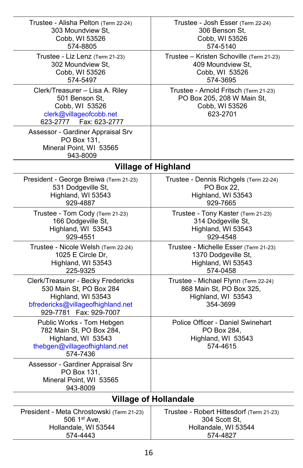| Trustee - Alisha Pelton (Term 22-24)<br>303 Moundview St,<br>Cobb, WI 53526<br>574-8805                                                             | Trustee - Josh Esser (Term 22-24)<br>306 Benson St,<br>Cobb, WI 53526<br>574-5140                  |
|-----------------------------------------------------------------------------------------------------------------------------------------------------|----------------------------------------------------------------------------------------------------|
| Trustee - Liz Lenz (Term 21-23)<br>302 Moundview St,<br>Cobb, WI 53526<br>574-5497                                                                  | Trustee - Kristen Schoville (Term 21-23)<br>409 Moundview St,<br>Cobb, WI 53526<br>574-3695        |
| Clerk/Treasurer - Lisa A. Riley<br>501 Benson St.<br>Cobb, WI 53526<br>clerk@villageofcobb.net<br>623-2777    Fax: 623-2777                         | Trustee - Arnold Fritsch (Term 21-23)<br>PO Box 205, 208 W Main St,<br>Cobb, WI 53526<br>623-2701  |
| Assessor - Gardiner Appraisal Srv<br>PO Box 131,<br>Mineral Point, WI 53565<br>943-8009                                                             |                                                                                                    |
| <b>Village of Highland</b>                                                                                                                          |                                                                                                    |
| President - George Breiwa (Term 21-23)<br>531 Dodgeville St,<br>Highland, WI 53543<br>929-4887                                                      | Trustee - Dennis Richgels (Term 22-24)<br>PO Box 22,<br>Highland, WI 53543<br>929-7665             |
| Trustee - Tom Cody (Term 21-23)<br>166 Dodgeville St,<br>Highland, WI 53543<br>929-4551                                                             | Trustee - Tony Kaster (Term 21-23)<br>314 Dodgeville St,<br>Highland, WI 53543<br>929-4548         |
| Trustee - Nicole Welsh (Term 22-24)<br>1025 E Circle Dr,<br>Highland, WI 53543<br>225-9325                                                          | Trustee - Michelle Esser (Term 21-23)<br>1370 Dodgeville St,<br>Highland, WI 53543<br>574-0458     |
| Clerk/Treasurer - Becky Fredericks<br>530 Main St, PO Box 284<br>Highland, WI 53543<br>bfredericks@villageofhighland.net<br>929-7781  Fax: 929-7007 | Trustee - Michael Flynn (Term 22-24)<br>868 Main St, PO Box 325,<br>Highland, WI 53543<br>354-3699 |
| Public Works - Tom Hebgen<br>782 Main St, PO Box 284,<br>Highland, WI 53543<br>thebgen@villageofhighland.net<br>574-7436                            | Police Officer - Daniel Swinehart<br>PO Box 284,<br>Highland, WI 53543<br>574-4615                 |
| Assessor - Gardiner Appraisal Srv<br>PO Box 131,<br>Mineral Point, WI 53565<br>943-8009                                                             |                                                                                                    |
| <b>Village of Hollandale</b>                                                                                                                        |                                                                                                    |
| President - Meta Chrostowski (Term 21-23)<br>506 1st Ave,<br>Hollandale, WI 53544<br>574-4443                                                       | Trustee - Robert Hittesdorf (Term 21-23)<br>304 Scott St.<br>Hollandale, WI 53544<br>574-4827      |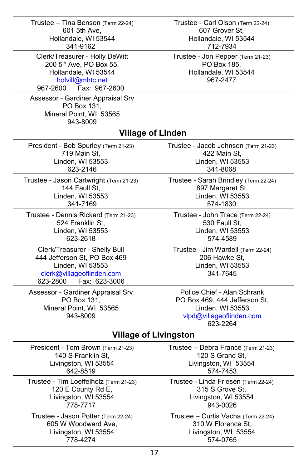| Trustee - Tina Benson (Term 22-24)                                                                                                             | Trustee - Carl Olson (Term 22-24)                                                                                        |  |
|------------------------------------------------------------------------------------------------------------------------------------------------|--------------------------------------------------------------------------------------------------------------------------|--|
| 601 5th Ave,                                                                                                                                   | 607 Grover St,                                                                                                           |  |
| Hollandale, WI 53544                                                                                                                           | Hollandale, WI 53544                                                                                                     |  |
| 341-9162                                                                                                                                       | 712-7934                                                                                                                 |  |
| Clerk/Treasurer - Holly DeWitt<br>200 5 <sup>th</sup> Ave, PO Box 55,<br>Hollandale, WI 53544<br>holvill@mhtc.net<br>Fax: 967-2600<br>967-2600 | Trustee - Jon Pepper (Term 21-23)<br>PO Box 185,<br>Hollandale, WI 53544<br>967-2477                                     |  |
| Assessor - Gardiner Appraisal Srv<br>PO Box 131,<br>Mineral Point, WI 53565<br>943-8009                                                        |                                                                                                                          |  |
|                                                                                                                                                | <b>Village of Linden</b>                                                                                                 |  |
| President - Bob Spurley (Term 21-23)                                                                                                           | Trustee - Jacob Johnson (Term 21-23)                                                                                     |  |
| 719 Main St.                                                                                                                                   | 422 Main St.                                                                                                             |  |
| Linden, WI 53553                                                                                                                               | Linden, WI 53553                                                                                                         |  |
| 623-2146                                                                                                                                       | 341-8068                                                                                                                 |  |
| Trustee - Jason Cartwright (Term 21-23)                                                                                                        | Trustee - Sarah Brindley (Term 22-24)                                                                                    |  |
| 144 Faull St,                                                                                                                                  | 897 Margaret St,                                                                                                         |  |
| Linden, WI 53553                                                                                                                               | Linden, WI 53553                                                                                                         |  |
| 341-7169                                                                                                                                       | 574-1830                                                                                                                 |  |
| Trustee - Dennis Rickard (Term 21-23)                                                                                                          | Trustee - John Trace (Term 22-24)                                                                                        |  |
| 524 Franklin St,                                                                                                                               | 530 Faull St,                                                                                                            |  |
| Linden, WI 53553                                                                                                                               | Linden, WI 53553                                                                                                         |  |
| 623-2618                                                                                                                                       | 574-4589                                                                                                                 |  |
| Clerk/Treasurer - Shelly Bull<br>444 Jefferson St, PO Box 469<br>Linden, WI 53553<br>clerk@villageoflinden.com<br>Fax: 623-3006<br>623-2800    | Trustee - Jim Wardell (Term 22-24)<br>206 Hawke St,<br>Linden, WI 53553<br>341-7645                                      |  |
| Assessor - Gardiner Appraisal Srv<br>PO Box 131,<br>Mineral Point, WI 53565<br>943-8009                                                        | Police Chief - Alan Schrank<br>PO Box 469, 444 Jefferson St,<br>Linden, WI 53553<br>vlpd@villageoflinden.com<br>623-2264 |  |
| <b>Village of Livingston</b>                                                                                                                   |                                                                                                                          |  |
| President - Tom Brown (Term 21-23)                                                                                                             | Trustee - Debra France (Term 21-23)                                                                                      |  |
| 140 S Franklin St,                                                                                                                             | 120 S Grand St,                                                                                                          |  |
| Livingston, WI 53554                                                                                                                           | Livingston, WI 53554                                                                                                     |  |
| 642-8519                                                                                                                                       | 574-7453                                                                                                                 |  |
| Trustee - Tim Loeffelholz (Term 21-23)                                                                                                         | Trustee - Linda Friesen (Term 22-24)                                                                                     |  |
| 120 E County Rd E,                                                                                                                             | 315 S Grove St,                                                                                                          |  |
| Livingston, WI 53554                                                                                                                           | Livingston, WI 53554                                                                                                     |  |
| 778-7717                                                                                                                                       | 943-0026                                                                                                                 |  |
| Trustee - Jason Potter (Term 22-24)                                                                                                            | Trustee - Curtis Vacha (Term 22-24)                                                                                      |  |
| 605 W Woodward Ave,                                                                                                                            | 310 W Florence St.                                                                                                       |  |
| Livingston, WI 53554                                                                                                                           | Livingston, WI 53554                                                                                                     |  |
| 778-4274                                                                                                                                       | 574-0765                                                                                                                 |  |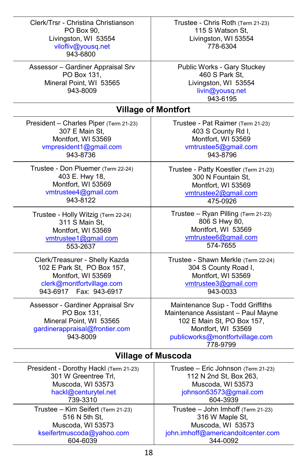| Clerk/Trsr - Christina Christianson<br>PO Box 90,<br>Livingston, WI 53554<br>vilofliv@yousq.net<br>943-6800               | Trustee - Chris Roth (Term 21-23)<br>115 S Watson St.<br>Livingston, WI 53554<br>778-6304                                                                                 |  |
|---------------------------------------------------------------------------------------------------------------------------|---------------------------------------------------------------------------------------------------------------------------------------------------------------------------|--|
| Assessor - Gardiner Appraisal Srv<br>PO Box 131,<br>Mineral Point, WI 53565<br>943-8009                                   | Public Works - Gary Stuckey<br>460 S Park St,<br>Livingston, WI 53554<br>livin@yousq.net<br>943-6195                                                                      |  |
|                                                                                                                           | <b>Village of Montfort</b>                                                                                                                                                |  |
| President - Charles Piper (Term 21-23)                                                                                    | Trustee - Pat Raimer (Term 21-23)                                                                                                                                         |  |
| 307 E Main St,                                                                                                            | 403 S County Rd I,                                                                                                                                                        |  |
| Montfort, WI 53569                                                                                                        | Montfort, WI 53569                                                                                                                                                        |  |
| vmpresident1@gmail.com                                                                                                    | vmtrustee5@gmail.com                                                                                                                                                      |  |
| 943-8736                                                                                                                  | 943-8796                                                                                                                                                                  |  |
| Trustee - Don Pluemer (Term 22-24)                                                                                        | Trustee - Patty Koestler (Term 21-23)                                                                                                                                     |  |
| 403 E. Hwy 18,                                                                                                            | 300 N Fountain St,                                                                                                                                                        |  |
| Montfort, WI 53569                                                                                                        | Montfort, WI 53569                                                                                                                                                        |  |
| vmtrustee4@gmail.com                                                                                                      | vmtrustee2@gmail.com                                                                                                                                                      |  |
| 943-8122                                                                                                                  | 475-0926                                                                                                                                                                  |  |
| Trustee - Holly Witzig (Term 22-24)                                                                                       | Trustee - Ryan Pilling (Term 21-23)                                                                                                                                       |  |
| 311 S Main St.                                                                                                            | 806 S Hwy 80,                                                                                                                                                             |  |
| Montfort, WI 53569                                                                                                        | Montfort, WI 53569                                                                                                                                                        |  |
| vmtrustee1@gmail.com                                                                                                      | vmtrustee6@gmail.com                                                                                                                                                      |  |
| 553-2637                                                                                                                  | 574-7655                                                                                                                                                                  |  |
| Clerk/Treasurer - Shelly Kazda                                                                                            | Trustee - Shawn Merkle (Term 22-24)                                                                                                                                       |  |
| 102 E Park St, PO Box 157,                                                                                                | 304 S County Road I,                                                                                                                                                      |  |
| Montfort, WI 53569                                                                                                        | Montfort, WI 53569                                                                                                                                                        |  |
| clerk@montfortvillage.com                                                                                                 | vmtrustee3@gmail.com                                                                                                                                                      |  |
| 943-6917  Fax: 943-6917                                                                                                   | 943-0033                                                                                                                                                                  |  |
| Assessor - Gardiner Appraisal Srv<br>PO Box 131,<br>Mineral Point, WI 53565<br>gardinerappraisal@frontier.com<br>943-8009 | Maintenance Sup - Todd Griffiths<br>Maintenance Assistant - Paul Mayne<br>102 E Main St, PO Box 157,<br>Montfort, WI 53569<br>publicworks@montfortvillage.com<br>778-9799 |  |
| <b>Village of Muscoda</b>                                                                                                 |                                                                                                                                                                           |  |
| President - Dorothy Hackl (Term 21-23)                                                                                    | Trustee - Eric Johnson (Term 21-23)                                                                                                                                       |  |
| 301 W Greentree Trl,                                                                                                      | 112 N 2nd St, Box 263,                                                                                                                                                    |  |
| Muscoda, WI 53573                                                                                                         | Muscoda, WI 53573                                                                                                                                                         |  |
| hackl@centurytel.net                                                                                                      | johnson53573@gmail.com                                                                                                                                                    |  |
| 739-3310                                                                                                                  | 604-3939                                                                                                                                                                  |  |
| Trustee - Kim Seifert (Term 21-23)                                                                                        | Trustee - John Imhoff (Term 21-23)                                                                                                                                        |  |
| 516 N 5th St,                                                                                                             | 316 W Maple St,                                                                                                                                                           |  |
| Muscoda, WI 53573                                                                                                         | Muscoda, WI 53573                                                                                                                                                         |  |
| kseifertmuscoda@yahoo.com                                                                                                 | john.imhoff@americandoitcenter.com                                                                                                                                        |  |
| 604-6039                                                                                                                  | 344-0092                                                                                                                                                                  |  |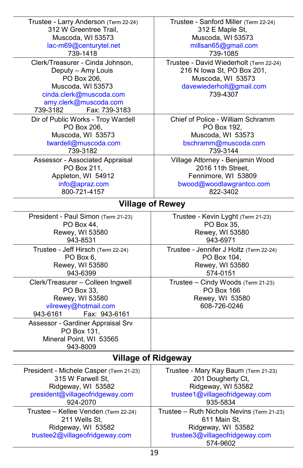| Trustee - Larry Anderson (Term 22-24)                                                                                                                        | Trustee - Sanford Miller (Term 22-24)                                                                                          |  |
|--------------------------------------------------------------------------------------------------------------------------------------------------------------|--------------------------------------------------------------------------------------------------------------------------------|--|
| 312 W Greentree Trail,                                                                                                                                       | 312 E Maple St,                                                                                                                |  |
| Muscoda, WI 53573                                                                                                                                            | Muscoda, WI 53573                                                                                                              |  |
| lac-m69@centurytel.net                                                                                                                                       | millsan65@gmail.com                                                                                                            |  |
| 739-1418                                                                                                                                                     | 739-1085                                                                                                                       |  |
| Clerk/Treasurer - Cinda Johnson,                                                                                                                             | Trustee - David Wiederholt (Term 22-24)                                                                                        |  |
| Deputy - Amy Louis<br>PO Box 206,<br>Muscoda, WI 53573<br>cinda.clerk@muscoda.com<br>amy.clerk@muscoda.com<br>Fax: 739-3183<br>739-3182                      | 216 N Iowa St, PO Box 201,<br>Muscoda, WI 53573<br>davewiederholt@gmail.com<br>739-4307                                        |  |
| Dir of Public Works - Troy Wardell                                                                                                                           | Chief of Police - William Schramm                                                                                              |  |
| PO Box 206,                                                                                                                                                  | PO Box 192,                                                                                                                    |  |
| Muscoda, WI 53573                                                                                                                                            | Muscoda, WI 53573                                                                                                              |  |
| twardell@muscoda.com                                                                                                                                         | bschramm@muscoda.com                                                                                                           |  |
| 739-3182                                                                                                                                                     | 739-3144                                                                                                                       |  |
| Assessor - Associated Appraisal                                                                                                                              | Village Attorney - Benjamin Wood                                                                                               |  |
| PO Box 211,                                                                                                                                                  | 2016 11th Street,                                                                                                              |  |
| Appleton, WI 54912                                                                                                                                           | Fennimore, WI 53809                                                                                                            |  |
| info@apraz.com                                                                                                                                               | bwood@woodlawgrantco.com                                                                                                       |  |
| 800-721-4157                                                                                                                                                 | 822-3402                                                                                                                       |  |
| <b>Village of Rewey</b>                                                                                                                                      |                                                                                                                                |  |
| President - Paul Simon (Term 21-23)                                                                                                                          | Trustee - Kevin Lyght (Term 21-23)                                                                                             |  |
| PO Box 44,                                                                                                                                                   | PO Box 35,                                                                                                                     |  |
| Rewey, WI 53580                                                                                                                                              | Rewey, WI 53580                                                                                                                |  |
| 943-8531                                                                                                                                                     | 943-6971                                                                                                                       |  |
| Trustee - Jeff Hirsch (Term 22-24)                                                                                                                           | Trustee - Jennifer J Holtz (Term 22-24)                                                                                        |  |
| PO Box 6,                                                                                                                                                    | PO Box 104,                                                                                                                    |  |
| Rewey, WI 53580                                                                                                                                              | Rewey, WI 53580                                                                                                                |  |
| 943-6399                                                                                                                                                     | 574-0151                                                                                                                       |  |
| Clerk/Treasurer - Colleen Ingwell<br>PO Box 33,<br>Rewey, WI 53580<br>vilrewey@hotmail.com<br>943-6161<br>Fax: 943-6161<br>Assessor - Gardiner Appraisal Srv | Trustee - Cindy Woods (Term 21-23)<br><b>PO Box 166</b><br>Rewey, WI 53580<br>608-726-0246                                     |  |
| PO Box 131,<br>Mineral Point, WI 53565<br>943-8009                                                                                                           |                                                                                                                                |  |
|                                                                                                                                                              | <b>Village of Ridgeway</b>                                                                                                     |  |
| President - Michele Casper (Term 21-23)                                                                                                                      | Trustee - Mary Kay Baum (Term 21-23)                                                                                           |  |
| 315 W Farwell St,                                                                                                                                            | 201 Dougherty Ct,                                                                                                              |  |
| Ridgeway, WI 53582                                                                                                                                           | Ridgeway, WI 53582                                                                                                             |  |
| president@villageofridgeway.com                                                                                                                              | trustee1@villageofridgeway.com                                                                                                 |  |
| 924-2070                                                                                                                                                     | 935-5834                                                                                                                       |  |
| Trustee - Kellee Venden (Term 22-24)<br>211 Wells St,<br>Ridgeway, WI 53582<br>trustee2@villageofridgeway.com                                                | Trustee - Ruth Nichols Nevins (Term 21-23)<br>611 Main St,<br>Ridgeway, WI 53582<br>trustee3@villageofridgeway.com<br>574-9602 |  |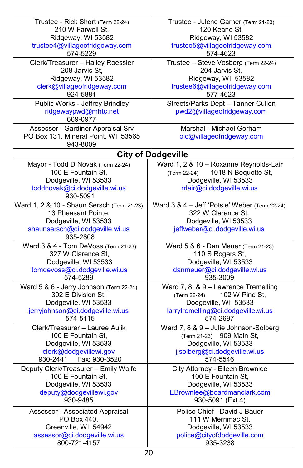| Trustee - Rick Short (Term 22-24)          | Trustee - Julene Garner (Term 21-23)          |
|--------------------------------------------|-----------------------------------------------|
| 210 W Farwell St,                          | 120 Keane St.                                 |
| Ridgeway, WI 53582                         | Ridgeway, WI 53582                            |
| trustee4@villageofridgeway.com             | trustee5@villageofridgeway.com                |
|                                            |                                               |
| 574-5229                                   | 574-4623                                      |
| Clerk/Treasurer - Hailey Roessler          | Trustee - Steve Vosberg (Term 22-24)          |
| 208 Jarvis St,                             | 204 Jarvis St.                                |
| Ridgeway, WI 53582                         | Ridgeway, WI 53582                            |
| clerk@villageofridgeway.com                | trustee6@villageofridgeway.com                |
| 924-5881                                   | 577-4623                                      |
| Public Works - Jeffrey Brindley            | Streets/Parks Dept - Tanner Cullen            |
| ridgewaypwd@mhtc.net                       | pwd2@villageofridgeway.com                    |
| 669-0977                                   |                                               |
|                                            |                                               |
| Assessor - Gardiner Appraisal Srv          | Marshal - Michael Gorham                      |
| PO Box 131, Mineral Point, WI 53565        | oic@villageofridgeway.com                     |
| 943-8009                                   |                                               |
|                                            | <b>City of Dodgeville</b>                     |
| Mayor - Todd D Novak (Term 22-24)          | Ward 1, 2 & 10 - Roxanne Reynolds-Lair        |
| 100 E Fountain St,                         | (Term 22-24)<br>1018 N Bequette St,           |
| Dodgeville, WI 53533                       | Dodgeville, WI 53533                          |
|                                            |                                               |
| toddnovak@ci.dodgeville.wi.us              | rrlair@ci.dodgeville.wi.us                    |
| 930-5091                                   |                                               |
| Ward 1, 2 & 10 - Shaun Sersch (Term 21-23) | Ward 3 & 4 - Jeff 'Potsie' Weber (Term 22-24) |
| 13 Pheasant Pointe,                        | 322 W Clarence St,                            |
| Dodgeville, WI 53533                       | Dodgeville, WI 53533                          |
| shaunsersch@ci.dodgeville.wi.us            | jeffweber@ci.dodgeville.wi.us                 |
| 935-2808                                   |                                               |
| Ward 3 & 4 - Tom DeVoss (Term 21-23)       | Ward 5 & 6 - Dan Meuer (Term 21-23)           |
| 327 W Clarence St,                         | 110 S Rogers St,                              |
| Dodgeville, WI 53533                       | Dodgeville, WI 53533                          |
|                                            |                                               |
| tomdevoss@ci.dodgeville.wi.us              | danmeuer@ci.dodgeville.wi.us                  |
| 574-5289                                   | 935-3009                                      |
| Ward 5 & 6 - Jerry Johnson (Term 22-24)    | Ward 7, 8, & 9 - Lawrence Tremelling          |
| 302 E Division St,                         | 102 W Pine St,<br>(Term 22-24)                |
| Dodgeville, WI 53533                       | Dodgeville, WI 53533                          |
| jerryjohnson@ci.dodgeville.wi.us           | larrytremelling@ci.dodgeville.wi.us           |
| 574-5115                                   | 574-2697                                      |
| Clerk/Treasurer - Lauree Aulik             | Ward 7, 8 & 9 - Julie Johnson-Solberg         |
| 100 E Fountain St,                         | (Term 21-23) 909 Main St,                     |
| Dodgeville, WI 53533                       | Dodgeville, WI 53533                          |
| clerk@dodgevillewi.gov                     | jjsolberg@ci.dodgeville.wi.us                 |
| 930-2441  Fax: 930-3520                    | 574-5546                                      |
|                                            |                                               |
| Deputy Clerk/Treasurer - Emily Wolfe       | City Attorney - Eileen Brownlee               |
| 100 E Fountain St,                         | 100 E Fountain St,                            |
| Dodgeville, WI 53533                       | Dodgeville, WI 53533                          |
| deputy@dodgevillewi.gov                    | EBrownlee@boardmanclark.com                   |
| 930-9485                                   | 930-5091 (Ext 4)                              |
| Assessor - Associated Appraisal            | Police Chief - David J Bauer                  |
| PO Box 440,                                | 111 W Merrimac St.                            |
| Greenville, WI 54942                       | Dodgeville, WI 53533                          |
| assessor@ci.dodgeville.wi.us               | police@cityofdodgeville.com                   |
| 800-721-4157                               | 935-3238                                      |
|                                            |                                               |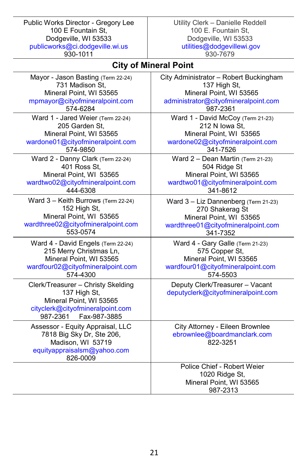Public Works Director - Gregory Lee 100 E Fountain St, Dodgeville, WI 53533 [publicworks@ci.dodgeville.wi.us](mailto:publicworks@ci.dodgeville.wi.us) 930-1011

Utility Clerk – Danielle Reddell 100 E. Fountain St, Dodgeville, WI 53533 [utilities@dodgevillewi.gov](mailto:utilities@dodgevillewi.gov) 930-7679

## **City of Mineral Point**

| Mayor - Jason Basting (Term 22-24)                                                                                                            | City Administrator - Robert Buckingham                                               |
|-----------------------------------------------------------------------------------------------------------------------------------------------|--------------------------------------------------------------------------------------|
| 731 Madison St.                                                                                                                               | 137 High St,                                                                         |
| Mineral Point, WI 53565                                                                                                                       | Mineral Point, WI 53565                                                              |
| mpmayor@cityofmineralpoint.com                                                                                                                | administrator@cityofmineralpoint.com                                                 |
| 574-6284                                                                                                                                      | 987-2361                                                                             |
| Ward 1 - Jared Weier (Term 22-24)                                                                                                             | Ward 1 - David McCoy (Term 21-23)                                                    |
| 205 Garden St,                                                                                                                                | 212 N Iowa St,                                                                       |
| Mineral Point, WI 53565                                                                                                                       | Mineral Point, WI 53565                                                              |
| wardone01@cityofmineralpoint.com                                                                                                              | wardone02@cityofmineralpoint.com                                                     |
| 574-9850                                                                                                                                      | 341-7526                                                                             |
| Ward 2 - Danny Clark (Term 22-24)                                                                                                             | Ward $2 -$ Dean Martin (Term 21-23)                                                  |
| 401 Ross St,                                                                                                                                  | 504 Ridge St                                                                         |
| Mineral Point, WI 53565                                                                                                                       | Mineral Point, WI 53565                                                              |
| wardtwo02@cityofmineralpoint.com                                                                                                              | wardtwo01@cityofmineralpoint.com                                                     |
| 444-6308                                                                                                                                      | 341-8612                                                                             |
| Ward 3 - Keith Burrows (Term 22-24)                                                                                                           | Ward 3 - Liz Dannenberg (Term 21-23)                                                 |
| 152 High St,                                                                                                                                  | 270 Shakerag St                                                                      |
| Mineral Point, WI 53565                                                                                                                       | Mineral Point, WI 53565                                                              |
| wardthree02@cityofmineralpoint.com                                                                                                            | wardthree01@cityofmineralpoint.com                                                   |
| 553-0574                                                                                                                                      | 341-7352                                                                             |
| Ward 4 - David Engels (Term 22-24)                                                                                                            | Ward 4 - Gary Galle (Term 21-23)                                                     |
| 215 Merry Christmas Ln,                                                                                                                       | 575 Copper St,                                                                       |
| Mineral Point, WI 53565                                                                                                                       | Mineral Point, WI 53565                                                              |
| wardfour02@cityofmineralpoint.com                                                                                                             | wardfour01@cityofmineralpoint.com                                                    |
| 574-4300                                                                                                                                      | 574-5503                                                                             |
| Clerk/Treasurer - Christy Skelding<br>137 High St,<br>Mineral Point, WI 53565<br>cityclerk@cityofmineralpoint.com<br>987-2361<br>Fax-987-3885 | Deputy Clerk/Treasurer - Vacant<br>deputyclerk@cityofmineralpoint.com                |
| Assessor - Equity Appraisal, LLC<br>7818 Big Sky Dr, Ste 206,<br>Madison, WI 53719<br>equityappraisalsm@yahoo.com<br>826-0009                 | City Attorney - Eileen Brownlee<br>ebrownlee@boardmanclark.com<br>822-3251           |
|                                                                                                                                               | Police Chief - Robert Weier<br>1020 Ridge St,<br>Mineral Point, WI 53565<br>987-2313 |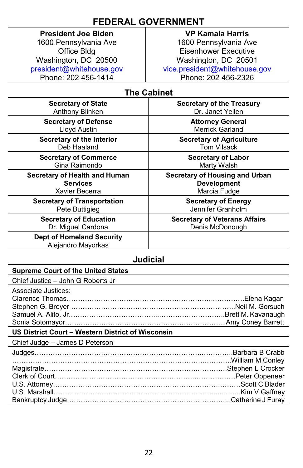## **FEDERAL GOVERNMENT**

## **President Joe Biden**

1600 Pennsylvania Ave Office Bldg Washington, DC 20500 [president@whitehouse.gov](mailto:president@whitehouse.gov) Phone: 202 456-1414

#### **VP Kamala Harris**

1600 Pennsylvania Ave Eisenhower Executive Washington, DC 20501 [vice.president@whitehouse.gov](mailto:vice.president@whitehouse.gov) Phone: 202 456-2326

## **The Cabinet**

| <b>Secretary of State</b>                              | <b>Secretary of the Treasury</b>     |
|--------------------------------------------------------|--------------------------------------|
| Anthony Blinken                                        | Dr. Janet Yellen                     |
| <b>Secretary of Defense</b>                            | <b>Attorney General</b>              |
| Lloyd Austin                                           | <b>Merrick Garland</b>               |
| Secretary of the Interior                              | <b>Secretary of Agriculture</b>      |
| Deb Haaland                                            | <b>Tom Vilsack</b>                   |
| <b>Secretary of Commerce</b>                           | <b>Secretary of Labor</b>            |
| Gina Raimondo                                          | Marty Walsh                          |
| Secretary of Health and Human                          | Secretary of Housing and Urban       |
| <b>Services</b>                                        | <b>Development</b>                   |
| Xavier Becerra                                         | Marcia Fudge                         |
| <b>Secretary of Transportation</b>                     | <b>Secretary of Energy</b>           |
| Pete Buttigieg                                         | Jennifer Granholm                    |
| <b>Secretary of Education</b>                          | <b>Secretary of Veterans Affairs</b> |
| Dr. Miguel Cardona                                     | Denis McDonough                      |
| <b>Dept of Homeland Security</b><br>Alejandro Mayorkas |                                      |

## **Judicial**

#### **Supreme Court of the United States**

Chief Justice – John G Roberts Jr

| Associate Justices: |  |
|---------------------|--|
|                     |  |
|                     |  |
|                     |  |
|                     |  |
|                     |  |

#### **US District Court – Western District of Wisconsin**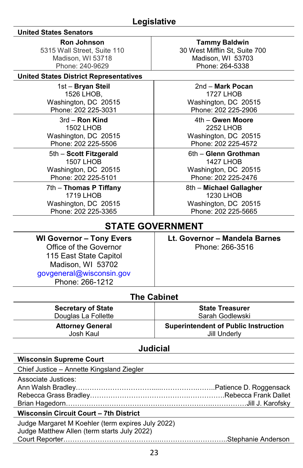## **Legislative**

#### **United States Senators**

**Ron Johnson**

5315 Wall Street, Suite 110 Madison, WI 53718 Phone: 240-9629

#### **United States District Representatives**

1st – **Bryan Steil** 1526 LHOB, Washington, DC 20515 Phone: 202 225-3031

3rd – **Ron Kind** 1502 LHOB Washington, DC 20515 Phone: 202 225-5506

5th – **Scott Fitzgerald** 1507 LHOB Washington, DC 20515 Phone: 202 225-5101

7th – **Thomas P Tiffany** 1719 LHOB Washington, DC 20515 Phone: 202 225-3365

**Tammy Baldwin** 30 West Mifflin St, Suite 700 Madison, WI 53703 Phone: 264-5338

2nd – **Mark Pocan** 1727 LHOB Washington, DC 20515 Phone: 202 225-2906

4th – **Gwen Moore** 2252 LHOB Washington, DC 20515 Phone: 202 225-4572

6th – **Glenn Grothman** 1427 LHOB Washington, DC 20515 Phone: 202 225-2476

8th – **Michael Gallagher** 1230 LHOB Washington, DC 20515 Phone: 202 225-5665

## **STATE GOVERNMENT**

**WI Governor – Tony Evers** Office of the Governor 115 East State Capitol Madison, WI 53702 [govgeneral@wisconsin.gov](mailto:govgeneral@wisconsin.gov) Phone: 266-1212

> **Secretary of State** Douglas La Follette

**Attorney General** Josh Kaul

**Lt. Governor – Mandela Barnes** Phone: 266-3516

> **State Treasurer** Sarah Godlewski

> > Jill Underly

# **Superintendent of Public Instruction**

**The Cabinet**

### **Judicial Wisconsin Supreme Court**

Chief Justice – Annette Kingsland Ziegler

Associate Justices: Ann Walsh Bradley…………………………….....…………….……..Patience D. Roggensack Rebecca Grass Bradley…………………………………….…………….Rebecca Frank Dallet Brian Hagedorn……………………………………………………….……………Jill J. Karofsky

#### **Wisconsin Circuit Court – 7th District**

Judge Margaret M Koehler (term expires July 2022) Judge Matthew Allen (term starts July 2022) Court Reporter…………………………………….………………………..Stephanie Anderson